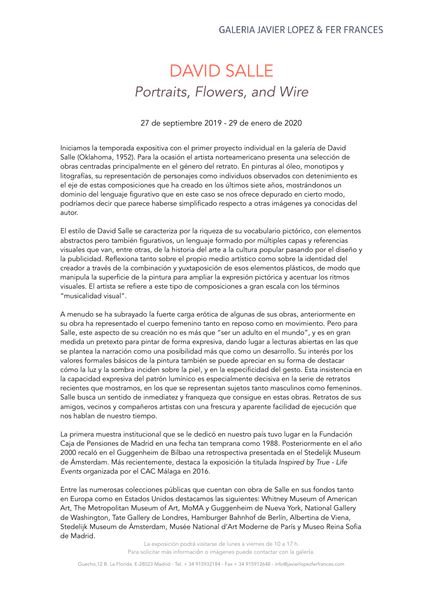## **GALERIA JAVIER LOPEZ & FER FRANCES**

## DAVID SALLE *Portraits, Flowers, and Wire*

27 de septiembre 2019 - 29 de enero de 2020

Iniciamos la temporada expositiva con el primer proyecto individual en la galería de David Salle (Oklahoma, 1952). Para la ocasión el artista norteamericano presenta una selección de obras centradas principalmente en el género del retrato. En pinturas al óleo, monotipos y litografías, su representación de personajes como individuos observados con detenimiento es el eje de estas composiciones que ha creado en los últimos siete años, mostrándonos un dominio del lenguaje figurativo que en este caso se nos ofrece depurado en cierto modo, podríamos decir que parece haberse simplificado respecto a otras imágenes ya conocidas del autor.

El estilo de David Salle se caracteriza por la riqueza de su vocabulario pictórico, con elementos abstractos pero también figurativos, un lenguaje formado por múltiples capas y referencias visuales que van, entre otras, de la historia del arte a la cultura popular pasando por el diseño y la publicidad. Reflexiona tanto sobre el propio medio artístico como sobre la identidad del creador a través de la combinación y yuxtaposición de esos elementos plásticos, de modo que manipula la superficie de la pintura para ampliar la expresión pictórica y acentuar los ritmos visuales. El artista se refiere a este tipo de composiciones a gran escala con los términos "musicalidad visual".

A menudo se ha subrayado la fuerte carga erótica de algunas de sus obras, anteriormente en su obra ha representado el cuerpo femenino tanto en reposo como en movimiento. Pero para Salle, este aspecto de su creación no es más que "ser un adulto en el mundo", y es en gran medida un pretexto para pintar de forma expresiva, dando lugar a lecturas abiertas en las que se plantea la narración como una posibilidad más que como un desarrollo. Su interés por los valores formales básicos de la pintura también se puede apreciar en su forma de destacar cómo la luz y la sombra inciden sobre la piel, y en la especificidad del gesto. Esta insistencia en la capacidad expresiva del patrón lumínico es especialmente decisiva en la serie de retratos recientes que mostramos, en los que se representan sujetos tanto masculinos como femeninos. Salle busca un sentido de inmediatez y franqueza que consigue en estas obras. Retratos de sus amigos, vecinos y compañeros artistas con una frescura y aparente facilidad de ejecución que nos hablan de nuestro tiempo.

La primera muestra institucional que se le dedicó en nuestro país tuvo lugar en la Fundación Caja de Pensiones de Madrid en una fecha tan temprana como 1988. Posteriormente en el año 2000 recaló en el Guggenheim de Bilbao una retrospectiva presentada en el Stedelijk Museum de Ámsterdam. Más recientemente, destaca la exposición la titulada *Inspired by True - Life Events* organizada por el CAC Málaga en 2016.

Entre las numerosas colecciones públicas que cuentan con obra de Salle en sus fondos tanto en Europa como en Estados Unidos destacamos las siguientes: Whitney Museum of American Art, The Metropolitan Museum of Art, MoMA y Guggenheim de Nueva York, National Gallery de Washington, Tate Gallery de Londres, Hamburger Bahnhof de Berlín, Albertina de Viena, Stedelijk Museum de Ámsterdam, Musée National d'Art Moderne de París y Museo Reina Sofia de Madrid.

> La exposición podrá visitarse de lunes a viernes de 10 a 17 h. Para solicitar más información o imágenes puede contactar con la galería.